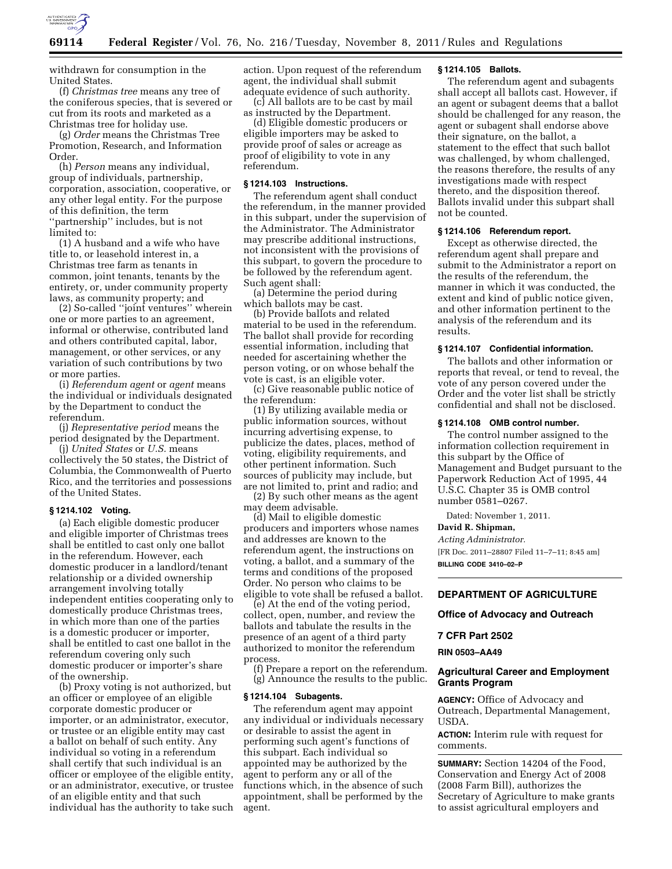

withdrawn for consumption in the United States.

(f) *Christmas tree* means any tree of the coniferous species, that is severed or cut from its roots and marketed as a Christmas tree for holiday use.

(g) *Order* means the Christmas Tree Promotion, Research, and Information Order.

(h) *Person* means any individual, group of individuals, partnership, corporation, association, cooperative, or any other legal entity. For the purpose of this definition, the term ''partnership'' includes, but is not limited to:

(1) A husband and a wife who have title to, or leasehold interest in, a Christmas tree farm as tenants in common, joint tenants, tenants by the entirety, or, under community property laws, as community property; and

(2) So-called ''joint ventures'' wherein one or more parties to an agreement, informal or otherwise, contributed land and others contributed capital, labor, management, or other services, or any variation of such contributions by two or more parties.

(i) *Referendum agent* or *agent* means the individual or individuals designated by the Department to conduct the referendum.

(j) *Representative period* means the period designated by the Department.

(j) *United States* or *U.S.* means collectively the 50 states, the District of Columbia, the Commonwealth of Puerto Rico, and the territories and possessions of the United States.

#### **§ 1214.102 Voting.**

(a) Each eligible domestic producer and eligible importer of Christmas trees shall be entitled to cast only one ballot in the referendum. However, each domestic producer in a landlord/tenant relationship or a divided ownership arrangement involving totally independent entities cooperating only to domestically produce Christmas trees, in which more than one of the parties is a domestic producer or importer, shall be entitled to cast one ballot in the referendum covering only such domestic producer or importer's share of the ownership.

(b) Proxy voting is not authorized, but an officer or employee of an eligible corporate domestic producer or importer, or an administrator, executor, or trustee or an eligible entity may cast a ballot on behalf of such entity. Any individual so voting in a referendum shall certify that such individual is an officer or employee of the eligible entity, or an administrator, executive, or trustee of an eligible entity and that such individual has the authority to take such

action. Upon request of the referendum agent, the individual shall submit adequate evidence of such authority.

(c) All ballots are to be cast by mail as instructed by the Department.

(d) Eligible domestic producers or eligible importers may be asked to provide proof of sales or acreage as proof of eligibility to vote in any referendum.

# **§ 1214.103 Instructions.**

The referendum agent shall conduct the referendum, in the manner provided in this subpart, under the supervision of the Administrator. The Administrator may prescribe additional instructions, not inconsistent with the provisions of this subpart, to govern the procedure to be followed by the referendum agent. Such agent shall:

(a) Determine the period during which ballots may be cast.

(b) Provide ballots and related material to be used in the referendum. The ballot shall provide for recording essential information, including that needed for ascertaining whether the person voting, or on whose behalf the vote is cast, is an eligible voter.

(c) Give reasonable public notice of the referendum:

(1) By utilizing available media or public information sources, without incurring advertising expense, to publicize the dates, places, method of voting, eligibility requirements, and other pertinent information. Such sources of publicity may include, but are not limited to, print and radio; and

(2) By such other means as the agent may deem advisable.

(d) Mail to eligible domestic producers and importers whose names and addresses are known to the referendum agent, the instructions on voting, a ballot, and a summary of the terms and conditions of the proposed Order. No person who claims to be eligible to vote shall be refused a ballot.

(e) At the end of the voting period, collect, open, number, and review the ballots and tabulate the results in the presence of an agent of a third party authorized to monitor the referendum process.

(f) Prepare a report on the referendum. (g) Announce the results to the public.

#### **§ 1214.104 Subagents.**

The referendum agent may appoint any individual or individuals necessary or desirable to assist the agent in performing such agent's functions of this subpart. Each individual so appointed may be authorized by the agent to perform any or all of the functions which, in the absence of such appointment, shall be performed by the agent.

#### **§ 1214.105 Ballots.**

The referendum agent and subagents shall accept all ballots cast. However, if an agent or subagent deems that a ballot should be challenged for any reason, the agent or subagent shall endorse above their signature, on the ballot, a statement to the effect that such ballot was challenged, by whom challenged, the reasons therefore, the results of any investigations made with respect thereto, and the disposition thereof. Ballots invalid under this subpart shall not be counted.

### **§ 1214.106 Referendum report.**

Except as otherwise directed, the referendum agent shall prepare and submit to the Administrator a report on the results of the referendum, the manner in which it was conducted, the extent and kind of public notice given, and other information pertinent to the analysis of the referendum and its results.

#### **§ 1214.107 Confidential information.**

The ballots and other information or reports that reveal, or tend to reveal, the vote of any person covered under the Order and the voter list shall be strictly confidential and shall not be disclosed.

### **§ 1214.108 OMB control number.**

The control number assigned to the information collection requirement in this subpart by the Office of Management and Budget pursuant to the Paperwork Reduction Act of 1995, 44 U.S.C. Chapter 35 is OMB control number 0581–0267.

Dated: November 1, 2011.

#### **David R. Shipman,**

*Acting Administrator.* 

[FR Doc. 2011–28807 Filed 11–7–11; 8:45 am] **BILLING CODE 3410–02–P** 

# **DEPARTMENT OF AGRICULTURE**

**Office of Advocacy and Outreach** 

#### **7 CFR Part 2502**

**RIN 0503–AA49** 

## **Agricultural Career and Employment Grants Program**

**AGENCY:** Office of Advocacy and Outreach, Departmental Management, USDA.

**ACTION:** Interim rule with request for comments.

**SUMMARY:** Section 14204 of the Food, Conservation and Energy Act of 2008 (2008 Farm Bill), authorizes the Secretary of Agriculture to make grants to assist agricultural employers and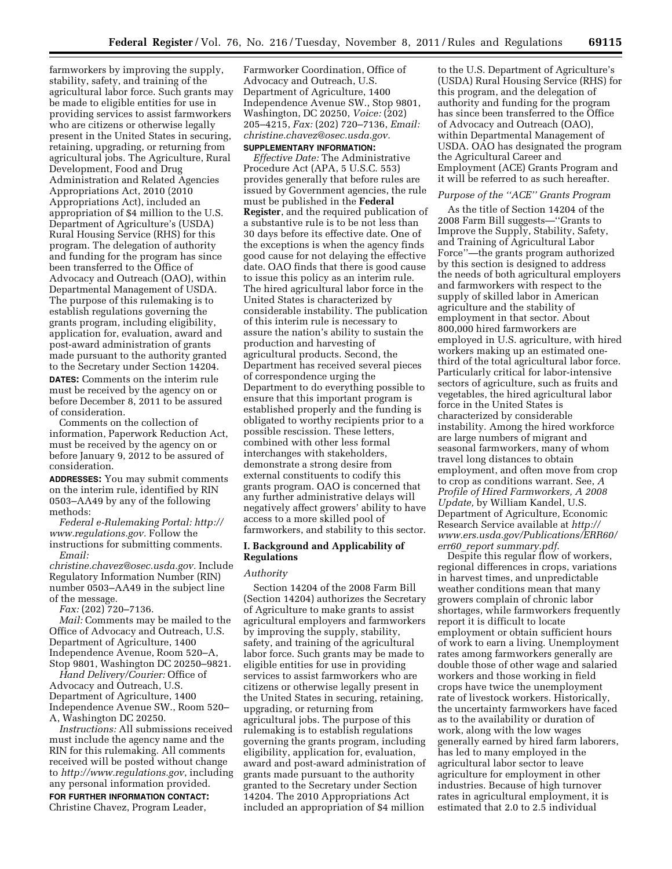farmworkers by improving the supply, stability, safety, and training of the agricultural labor force. Such grants may be made to eligible entities for use in providing services to assist farmworkers who are citizens or otherwise legally present in the United States in securing, retaining, upgrading, or returning from agricultural jobs. The Agriculture, Rural Development, Food and Drug Administration and Related Agencies Appropriations Act, 2010 (2010 Appropriations Act), included an appropriation of \$4 million to the U.S. Department of Agriculture's (USDA) Rural Housing Service (RHS) for this program. The delegation of authority and funding for the program has since been transferred to the Office of Advocacy and Outreach (OAO), within Departmental Management of USDA. The purpose of this rulemaking is to establish regulations governing the grants program, including eligibility, application for, evaluation, award and post-award administration of grants made pursuant to the authority granted to the Secretary under Section 14204.

**DATES:** Comments on the interim rule must be received by the agency on or before December 8, 2011 to be assured of consideration.

Comments on the collection of information, Paperwork Reduction Act, must be received by the agency on or before January 9, 2012 to be assured of consideration.

**ADDRESSES:** You may submit comments on the interim rule, identified by RIN 0503–AA49 by any of the following methods:

*Federal e-Rulemaking Portal: [http://](http://www.regulations.gov)  [www.regulations.gov.](http://www.regulations.gov)* Follow the instructions for submitting comments. *Email:* 

*[christine.chavez@osec.usda.gov.](mailto:christine.chavez@osec.usda.gov)* Include Regulatory Information Number (RIN) number 0503–AA49 in the subject line of the message.

*Fax:* (202) 720–7136.

*Mail:* Comments may be mailed to the Office of Advocacy and Outreach, U.S. Department of Agriculture, 1400 Independence Avenue, Room 520–A, Stop 9801, Washington DC 20250–9821.

*Hand Delivery/Courier:* Office of Advocacy and Outreach, U.S. Department of Agriculture, 1400 Independence Avenue SW., Room 520– A, Washington DC 20250.

*Instructions:* All submissions received must include the agency name and the RIN for this rulemaking. All comments received will be posted without change to *<http://www.regulations.gov>*, including any personal information provided. **FOR FURTHER INFORMATION CONTACT:**  Christine Chavez, Program Leader,

Farmworker Coordination, Office of Advocacy and Outreach, U.S. Department of Agriculture, 1400 Independence Avenue SW., Stop 9801, Washington, DC 20250, *Voice:* (202) 205–4215, *Fax:* (202) 720–7136, *Email: [christine.chavez@osec.usda.gov.](mailto:christine.chavez@osec.usda.gov)*  **SUPPLEMENTARY INFORMATION:** 

*Effective Date:* The Administrative Procedure Act (APA, 5 U.S.C. 553) provides generally that before rules are issued by Government agencies, the rule must be published in the **Federal Register**, and the required publication of a substantive rule is to be not less than 30 days before its effective date. One of the exceptions is when the agency finds good cause for not delaying the effective date. OAO finds that there is good cause to issue this policy as an interim rule. The hired agricultural labor force in the United States is characterized by considerable instability. The publication of this interim rule is necessary to assure the nation's ability to sustain the production and harvesting of agricultural products. Second, the Department has received several pieces of correspondence urging the Department to do everything possible to ensure that this important program is established properly and the funding is obligated to worthy recipients prior to a possible rescission. These letters, combined with other less formal interchanges with stakeholders, demonstrate a strong desire from external constituents to codify this grants program. OAO is concerned that any further administrative delays will negatively affect growers' ability to have access to a more skilled pool of farmworkers, and stability to this sector.

### **I. Background and Applicability of Regulations**

# *Authority*

Section 14204 of the 2008 Farm Bill (Section 14204) authorizes the Secretary of Agriculture to make grants to assist agricultural employers and farmworkers by improving the supply, stability, safety, and training of the agricultural labor force. Such grants may be made to eligible entities for use in providing services to assist farmworkers who are citizens or otherwise legally present in the United States in securing, retaining, upgrading, or returning from agricultural jobs. The purpose of this rulemaking is to establish regulations governing the grants program, including eligibility, application for, evaluation, award and post-award administration of grants made pursuant to the authority granted to the Secretary under Section 14204. The 2010 Appropriations Act included an appropriation of \$4 million

to the U.S. Department of Agriculture's (USDA) Rural Housing Service (RHS) for this program, and the delegation of authority and funding for the program has since been transferred to the Office of Advocacy and Outreach (OAO), within Departmental Management of USDA. OAO has designated the program the Agricultural Career and Employment (ACE) Grants Program and it will be referred to as such hereafter.

# *Purpose of the ''ACE'' Grants Program*

As the title of Section 14204 of the 2008 Farm Bill suggests—''Grants to Improve the Supply, Stability, Safety, and Training of Agricultural Labor Force''—the grants program authorized by this section is designed to address the needs of both agricultural employers and farmworkers with respect to the supply of skilled labor in American agriculture and the stability of employment in that sector. About 800,000 hired farmworkers are employed in U.S. agriculture, with hired workers making up an estimated onethird of the total agricultural labor force. Particularly critical for labor-intensive sectors of agriculture, such as fruits and vegetables, the hired agricultural labor force in the United States is characterized by considerable instability. Among the hired workforce are large numbers of migrant and seasonal farmworkers, many of whom travel long distances to obtain employment, and often move from crop to crop as conditions warrant. See, *A Profile of Hired Farmworkers, A 2008 Update,* by William Kandel, U.S. Department of Agriculture, Economic Research Service available at *[http://](http://www.ers.usda.gov/Publications/ERR60/err60_reportsummary.pdf)  [www.ers.usda.gov/Publications/ERR60/](http://www.ers.usda.gov/Publications/ERR60/err60_reportsummary.pdf)  err60*\_*[report summary.pdf](http://www.ers.usda.gov/Publications/ERR60/err60_reportsummary.pdf)*.

Despite this regular flow of workers, regional differences in crops, variations in harvest times, and unpredictable weather conditions mean that many growers complain of chronic labor shortages, while farmworkers frequently report it is difficult to locate employment or obtain sufficient hours of work to earn a living. Unemployment rates among farmworkers generally are double those of other wage and salaried workers and those working in field crops have twice the unemployment rate of livestock workers. Historically, the uncertainty farmworkers have faced as to the availability or duration of work, along with the low wages generally earned by hired farm laborers, has led to many employed in the agricultural labor sector to leave agriculture for employment in other industries. Because of high turnover rates in agricultural employment, it is estimated that 2.0 to 2.5 individual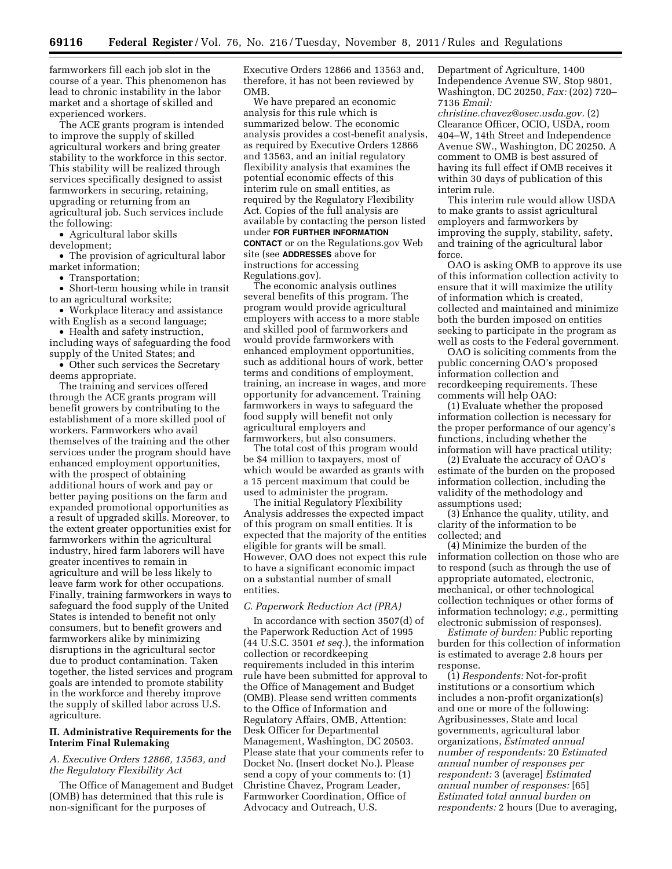farmworkers fill each job slot in the course of a year. This phenomenon has lead to chronic instability in the labor market and a shortage of skilled and experienced workers.

The ACE grants program is intended to improve the supply of skilled agricultural workers and bring greater stability to the workforce in this sector. This stability will be realized through services specifically designed to assist farmworkers in securing, retaining, upgrading or returning from an agricultural job. Such services include the following:

• Agricultural labor skills development;

• The provision of agricultural labor market information;

• Transportation;

• Short-term housing while in transit to an agricultural worksite;

• Workplace literacy and assistance with English as a second language;

• Health and safety instruction, including ways of safeguarding the food supply of the United States; and

• Other such services the Secretary deems appropriate.

The training and services offered through the ACE grants program will benefit growers by contributing to the establishment of a more skilled pool of workers. Farmworkers who avail themselves of the training and the other services under the program should have enhanced employment opportunities, with the prospect of obtaining additional hours of work and pay or better paying positions on the farm and expanded promotional opportunities as a result of upgraded skills. Moreover, to the extent greater opportunities exist for farmworkers within the agricultural industry, hired farm laborers will have greater incentives to remain in agriculture and will be less likely to leave farm work for other occupations. Finally, training farmworkers in ways to safeguard the food supply of the United States is intended to benefit not only consumers, but to benefit growers and farmworkers alike by minimizing disruptions in the agricultural sector due to product contamination. Taken together, the listed services and program goals are intended to promote stability in the workforce and thereby improve the supply of skilled labor across U.S. agriculture.

## **II. Administrative Requirements for the Interim Final Rulemaking**

# *A. Executive Orders 12866, 13563, and the Regulatory Flexibility Act*

The Office of Management and Budget (OMB) has determined that this rule is non-significant for the purposes of

Executive Orders 12866 and 13563 and, therefore, it has not been reviewed by OMB.

We have prepared an economic analysis for this rule which is summarized below. The economic analysis provides a cost-benefit analysis, as required by Executive Orders 12866 and 13563, and an initial regulatory flexibility analysis that examines the potential economic effects of this interim rule on small entities, as required by the Regulatory Flexibility Act. Copies of the full analysis are available by contacting the person listed under **FOR FURTHER INFORMATION**

**CONTACT** or on the Regulations.gov Web site (see **ADDRESSES** above for instructions for accessing Regulations.gov).

The economic analysis outlines several benefits of this program. The program would provide agricultural employers with access to a more stable and skilled pool of farmworkers and would provide farmworkers with enhanced employment opportunities, such as additional hours of work, better terms and conditions of employment, training, an increase in wages, and more opportunity for advancement. Training farmworkers in ways to safeguard the food supply will benefit not only agricultural employers and farmworkers, but also consumers.

The total cost of this program would be \$4 million to taxpayers, most of which would be awarded as grants with a 15 percent maximum that could be used to administer the program.

The initial Regulatory Flexibility Analysis addresses the expected impact of this program on small entities. It is expected that the majority of the entities eligible for grants will be small. However, OAO does not expect this rule to have a significant economic impact on a substantial number of small entities.

# *C. Paperwork Reduction Act (PRA)*

In accordance with section 3507(d) of the Paperwork Reduction Act of 1995 (44 U.S.C. 3501 *et seq.*), the information collection or recordkeeping requirements included in this interim rule have been submitted for approval to the Office of Management and Budget (OMB). Please send written comments to the Office of Information and Regulatory Affairs, OMB, Attention: Desk Officer for Departmental Management, Washington, DC 20503. Please state that your comments refer to Docket No. (Insert docket No.). Please send a copy of your comments to: (1) Christine Chavez, Program Leader, Farmworker Coordination, Office of Advocacy and Outreach, U.S.

Department of Agriculture, 1400 Independence Avenue SW, Stop 9801, Washington, DC 20250, *Fax:* (202) 720– 7136 *Email:* 

*[christine.chavez@osec.usda.gov.](mailto:christine.chavez@osec.usda.gov)* (2) Clearance Officer, OCIO, USDA, room 404–W, 14th Street and Independence Avenue SW., Washington, DC 20250. A comment to OMB is best assured of having its full effect if OMB receives it within 30 days of publication of this interim rule.

This interim rule would allow USDA to make grants to assist agricultural employers and farmworkers by improving the supply, stability, safety, and training of the agricultural labor force.

OAO is asking OMB to approve its use of this information collection activity to ensure that it will maximize the utility of information which is created, collected and maintained and minimize both the burden imposed on entities seeking to participate in the program as well as costs to the Federal government.

OAO is soliciting comments from the public concerning OAO's proposed information collection and recordkeeping requirements. These comments will help OAO:

(1) Evaluate whether the proposed information collection is necessary for the proper performance of our agency's functions, including whether the information will have practical utility;

(2) Evaluate the accuracy of OAO's estimate of the burden on the proposed information collection, including the validity of the methodology and assumptions used;

(3) Enhance the quality, utility, and clarity of the information to be collected; and

(4) Minimize the burden of the information collection on those who are to respond (such as through the use of appropriate automated, electronic, mechanical, or other technological collection techniques or other forms of information technology; *e.g.,* permitting electronic submission of responses).

*Estimate of burden:* Public reporting burden for this collection of information is estimated to average 2.8 hours per response.

(1) *Respondents:* Not-for-profit institutions or a consortium which includes a non-profit organization(s) and one or more of the following: Agribusinesses, State and local governments, agricultural labor organizations, *Estimated annual number of respondents:* 20 *Estimated annual number of responses per respondent:* 3 (average] *Estimated annual number of responses:* [65] *Estimated total annual burden on respondents:* 2 hours (Due to averaging,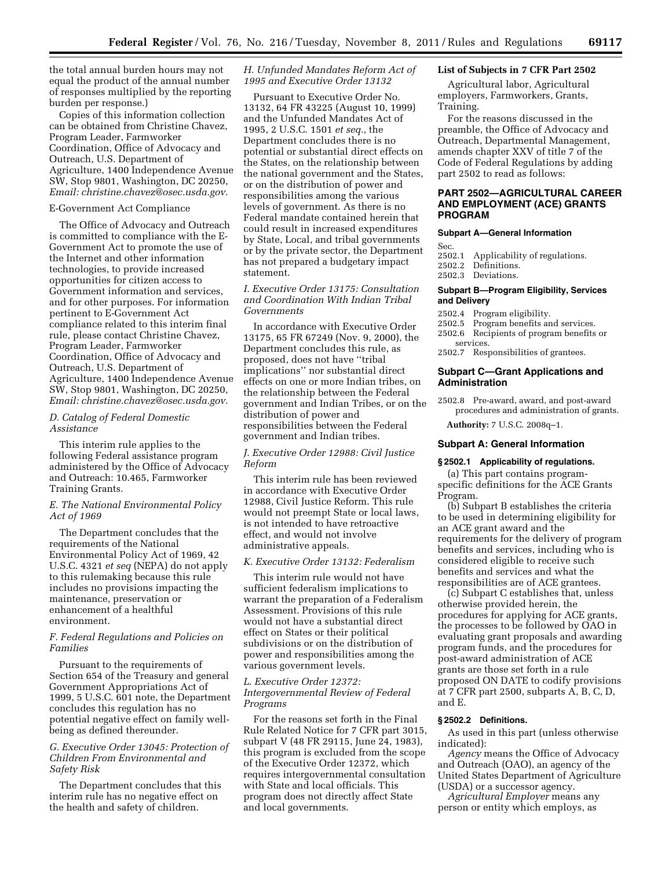the total annual burden hours may not equal the product of the annual number of responses multiplied by the reporting burden per response.)

Copies of this information collection can be obtained from Christine Chavez, Program Leader, Farmworker Coordination, Office of Advocacy and Outreach, U.S. Department of Agriculture, 1400 Independence Avenue SW, Stop 9801, Washington, DC 20250, *Email: [christine.chavez@osec.usda.gov.](mailto:christine.chavez@osec.usda.gov)* 

#### E-Government Act Compliance

The Office of Advocacy and Outreach is committed to compliance with the E-Government Act to promote the use of the Internet and other information technologies, to provide increased opportunities for citizen access to Government information and services, and for other purposes. For information pertinent to E-Government Act compliance related to this interim final rule, please contact Christine Chavez, Program Leader, Farmworker Coordination, Office of Advocacy and Outreach, U.S. Department of Agriculture, 1400 Independence Avenue SW, Stop 9801, Washington, DC 20250, *Email: [christine.chavez@osec.usda.gov.](mailto:christine.chavez@osec.usda.gov)* 

## *D. Catalog of Federal Domestic Assistance*

This interim rule applies to the following Federal assistance program administered by the Office of Advocacy and Outreach: 10.465, Farmworker Training Grants.

## *E. The National Environmental Policy Act of 1969*

The Department concludes that the requirements of the National Environmental Policy Act of 1969, 42 U.S.C. 4321 *et seq* (NEPA) do not apply to this rulemaking because this rule includes no provisions impacting the maintenance, preservation or enhancement of a healthful environment.

## *F. Federal Regulations and Policies on Families*

Pursuant to the requirements of Section 654 of the Treasury and general Government Appropriations Act of 1999, 5 U.S.C. 601 note, the Department concludes this regulation has no potential negative effect on family wellbeing as defined thereunder.

# *G. Executive Order 13045: Protection of Children From Environmental and Safety Risk*

The Department concludes that this interim rule has no negative effect on the health and safety of children.

# *H. Unfunded Mandates Reform Act of 1995 and Executive Order 13132*

Pursuant to Executive Order No. 13132, 64 FR 43225 (August 10, 1999) and the Unfunded Mandates Act of 1995, 2 U.S.C. 1501 *et seq.,* the Department concludes there is no potential or substantial direct effects on the States, on the relationship between the national government and the States, or on the distribution of power and responsibilities among the various levels of government. As there is no Federal mandate contained herein that could result in increased expenditures by State, Local, and tribal governments or by the private sector, the Department has not prepared a budgetary impact statement.

## *I. Executive Order 13175: Consultation and Coordination With Indian Tribal Governments*

In accordance with Executive Order 13175, 65 FR 67249 (Nov. 9, 2000), the Department concludes this rule, as proposed, does not have ''tribal implications'' nor substantial direct effects on one or more Indian tribes, on the relationship between the Federal government and Indian Tribes, or on the distribution of power and responsibilities between the Federal government and Indian tribes.

# *J. Executive Order 12988: Civil Justice Reform*

This interim rule has been reviewed in accordance with Executive Order 12988, Civil Justice Reform. This rule would not preempt State or local laws, is not intended to have retroactive effect, and would not involve administrative appeals.

### *K. Executive Order 13132: Federalism*

This interim rule would not have sufficient federalism implications to warrant the preparation of a Federalism Assessment. Provisions of this rule would not have a substantial direct effect on States or their political subdivisions or on the distribution of power and responsibilities among the various government levels.

### *L. Executive Order 12372: Intergovernmental Review of Federal Programs*

For the reasons set forth in the Final Rule Related Notice for 7 CFR part 3015, subpart V (48 FR 29115, June 24, 1983), this program is excluded from the scope of the Executive Order 12372, which requires intergovernmental consultation with State and local officials. This program does not directly affect State and local governments.

# **List of Subjects in 7 CFR Part 2502**

Agricultural labor, Agricultural employers, Farmworkers, Grants, Training.

For the reasons discussed in the preamble, the Office of Advocacy and Outreach, Departmental Management, amends chapter XXV of title 7 of the Code of Federal Regulations by adding part 2502 to read as follows:

## **PART 2502—AGRICULTURAL CAREER AND EMPLOYMENT (ACE) GRANTS PROGRAM**

## **Subpart A—General Information**

Sec.

- 2502.1 Applicability of regulations.
- 2502.2 Definitions.
- 2502.3 Deviations.

#### **Subpart B—Program Eligibility, Services and Delivery**

- 2502.4 Program eligibility.
- 2502.5 Program benefits and services.
- 2502.6 Recipients of program benefits or services.
- 2502.7 Responsibilities of grantees.

## **Subpart C—Grant Applications and Administration**

2502.8 Pre-award, award, and post-award procedures and administration of grants.

**Authority:** 7 U.S.C. 2008q–1.

#### **Subpart A: General Information**

#### **§ 2502.1 Applicability of regulations.**

(a) This part contains programspecific definitions for the ACE Grants Program.

(b) Subpart B establishes the criteria to be used in determining eligibility for an ACE grant award and the requirements for the delivery of program benefits and services, including who is considered eligible to receive such benefits and services and what the responsibilities are of ACE grantees.

(c) Subpart C establishes that, unless otherwise provided herein, the procedures for applying for ACE grants, the processes to be followed by OAO in evaluating grant proposals and awarding program funds, and the procedures for post-award administration of ACE grants are those set forth in a rule proposed ON DATE to codify provisions at 7 CFR part 2500, subparts A, B, C, D, and E.

#### **§ 2502.2 Definitions.**

As used in this part (unless otherwise indicated):

*Agency* means the Office of Advocacy and Outreach (OAO), an agency of the United States Department of Agriculture (USDA) or a successor agency.

*Agricultural Employer* means any person or entity which employs, as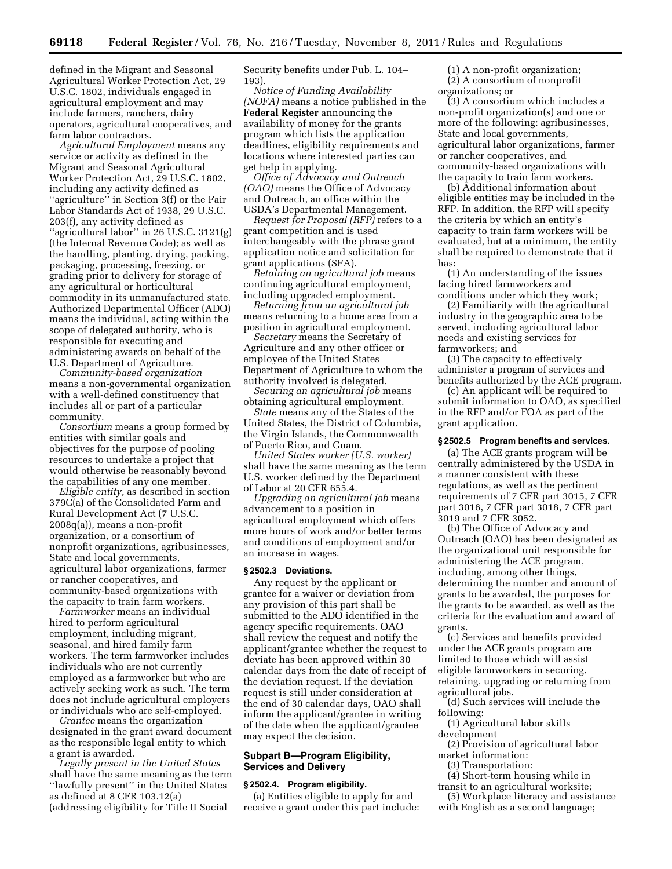defined in the Migrant and Seasonal Agricultural Worker Protection Act, 29 U.S.C. 1802, individuals engaged in agricultural employment and may include farmers, ranchers, dairy operators, agricultural cooperatives, and farm labor contractors.

*Agricultural Employment* means any service or activity as defined in the Migrant and Seasonal Agricultural Worker Protection Act, 29 U.S.C. 1802, including any activity defined as ''agriculture'' in Section 3(f) or the Fair Labor Standards Act of 1938, 29 U.S.C. 203(f), any activity defined as "agricultural labor" in 26 U.S.C. 3121(g) (the Internal Revenue Code); as well as the handling, planting, drying, packing, packaging, processing, freezing, or grading prior to delivery for storage of any agricultural or horticultural commodity in its unmanufactured state. Authorized Departmental Officer (ADO) means the individual, acting within the scope of delegated authority, who is responsible for executing and administering awards on behalf of the U.S. Department of Agriculture.

*Community-based organization*  means a non-governmental organization with a well-defined constituency that includes all or part of a particular community.

*Consortium* means a group formed by entities with similar goals and objectives for the purpose of pooling resources to undertake a project that would otherwise be reasonably beyond the capabilities of any one member.

*Eligible entity,* as described in section 379C(a) of the Consolidated Farm and Rural Development Act (7 U.S.C. 2008q(a)), means a non-profit organization, or a consortium of nonprofit organizations, agribusinesses, State and local governments, agricultural labor organizations, farmer or rancher cooperatives, and community-based organizations with the capacity to train farm workers.

*Farmworker* means an individual hired to perform agricultural employment, including migrant, seasonal, and hired family farm workers. The term farmworker includes individuals who are not currently employed as a farmworker but who are actively seeking work as such. The term does not include agricultural employers or individuals who are self-employed.

*Grantee* means the organization designated in the grant award document as the responsible legal entity to which a grant is awarded.

*Legally present in the United States*  shall have the same meaning as the term ''lawfully present'' in the United States as defined at 8 CFR 103.12(a) (addressing eligibility for Title II Social

Security benefits under Pub. L. 104– 193).

*Notice of Funding Availability (NOFA)* means a notice published in the **Federal Register** announcing the availability of money for the grants program which lists the application deadlines, eligibility requirements and locations where interested parties can get help in applying.

*Office of Advocacy and Outreach (OAO)* means the Office of Advocacy and Outreach, an office within the USDA's Departmental Management.

*Request for Proposal (RFP)* refers to a grant competition and is used interchangeably with the phrase grant application notice and solicitation for grant applications (SFA).

*Retaining an agricultural job* means continuing agricultural employment, including upgraded employment.

*Returning from an agricultural job*  means returning to a home area from a position in agricultural employment.

*Secretary* means the Secretary of Agriculture and any other officer or employee of the United States Department of Agriculture to whom the authority involved is delegated.

*Securing an agricultural job* means obtaining agricultural employment.

*State* means any of the States of the United States, the District of Columbia, the Virgin Islands, the Commonwealth of Puerto Rico, and Guam.

*United States worker (U.S. worker)*  shall have the same meaning as the term U.S. worker defined by the Department of Labor at 20 CFR 655.4.

*Upgrading an agricultural job* means advancement to a position in agricultural employment which offers more hours of work and/or better terms and conditions of employment and/or an increase in wages.

#### **§ 2502.3 Deviations.**

Any request by the applicant or grantee for a waiver or deviation from any provision of this part shall be submitted to the ADO identified in the agency specific requirements. OAO shall review the request and notify the applicant/grantee whether the request to deviate has been approved within 30 calendar days from the date of receipt of the deviation request. If the deviation request is still under consideration at the end of 30 calendar days, OAO shall inform the applicant/grantee in writing of the date when the applicant/grantee may expect the decision.

### **Subpart B—Program Eligibility, Services and Delivery**

## **§ 2502.4. Program eligibility.**

(a) Entities eligible to apply for and receive a grant under this part include:

(1) A non-profit organization; (2) A consortium of nonprofit organizations; or

(3) A consortium which includes a non-profit organization(s) and one or more of the following: agribusinesses, State and local governments, agricultural labor organizations, farmer or rancher cooperatives, and community-based organizations with the capacity to train farm workers.

(b) Additional information about eligible entities may be included in the RFP. In addition, the RFP will specify the criteria by which an entity's capacity to train farm workers will be evaluated, but at a minimum, the entity shall be required to demonstrate that it has:

(1) An understanding of the issues facing hired farmworkers and conditions under which they work;

(2) Familiarity with the agricultural industry in the geographic area to be served, including agricultural labor needs and existing services for farmworkers; and

(3) The capacity to effectively administer a program of services and benefits authorized by the ACE program.

(c) An applicant will be required to submit information to OAO, as specified in the RFP and/or FOA as part of the grant application.

### **§ 2502.5 Program benefits and services.**

(a) The ACE grants program will be centrally administered by the USDA in a manner consistent with these regulations, as well as the pertinent requirements of 7 CFR part 3015, 7 CFR part 3016, 7 CFR part 3018, 7 CFR part 3019 and 7 CFR 3052.

(b) The Office of Advocacy and Outreach (OAO) has been designated as the organizational unit responsible for administering the ACE program, including, among other things, determining the number and amount of grants to be awarded, the purposes for the grants to be awarded, as well as the criteria for the evaluation and award of grants.

(c) Services and benefits provided under the ACE grants program are limited to those which will assist eligible farmworkers in securing, retaining, upgrading or returning from agricultural jobs.

(d) Such services will include the following:

(1) Agricultural labor skills development

- (2) Provision of agricultural labor market information:
	- (3) Transportation:
- (4) Short-term housing while in transit to an agricultural worksite;

(5) Workplace literacy and assistance with English as a second language;